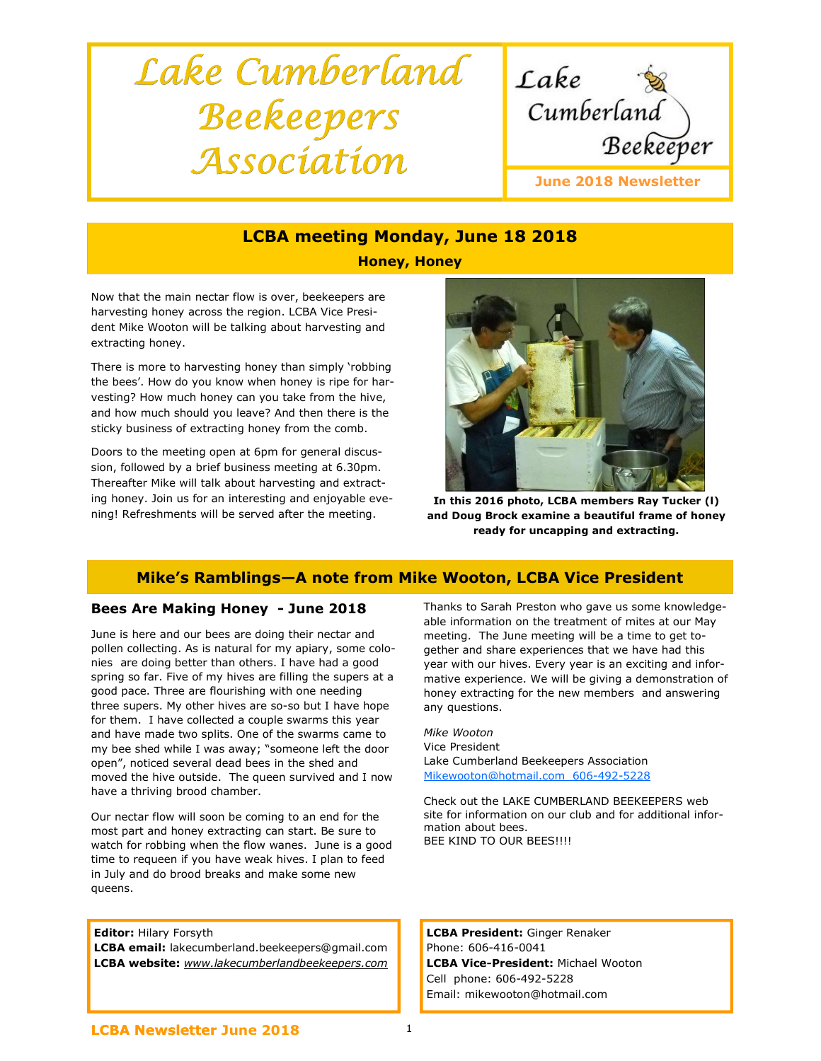# Lake Cumberland Beekeepers Association



## LCBA meeting Monday, June 18 2018

Honey, Honey

Now that the main nectar flow is over, beekeepers are harvesting honey across the region. LCBA Vice President Mike Wooton will be talking about harvesting and extracting honey.

There is more to harvesting honey than simply 'robbing the bees'. How do you know when honey is ripe for harvesting? How much honey can you take from the hive, and how much should you leave? And then there is the sticky business of extracting honey from the comb.

Doors to the meeting open at 6pm for general discussion, followed by a brief business meeting at 6.30pm. Thereafter Mike will talk about harvesting and extracting honey. Join us for an interesting and enjoyable evening! Refreshments will be served after the meeting.



In this 2016 photo, LCBA members Ray Tucker (l) and Doug Brock examine a beautiful frame of honey ready for uncapping and extracting.

### Mike's Ramblings—A note from Mike Wooton, LCBA Vice President

#### Bees Are Making Honey - June 2018

June is here and our bees are doing their nectar and pollen collecting. As is natural for my apiary, some colonies are doing better than others. I have had a good spring so far. Five of my hives are filling the supers at a good pace. Three are flourishing with one needing three supers. My other hives are so-so but I have hope for them. I have collected a couple swarms this year and have made two splits. One of the swarms came to my bee shed while I was away; "someone left the door open", noticed several dead bees in the shed and moved the hive outside. The queen survived and I now have a thriving brood chamber.

Our nectar flow will soon be coming to an end for the most part and honey extracting can start. Be sure to watch for robbing when the flow wanes. June is a good time to requeen if you have weak hives. I plan to feed in July and do brood breaks and make some new queens.

Editor: Hilary Forsyth LCBA email: lakecumberland.beekeepers@gmail.com LCBA website: www.lakecumberlandbeekeepers.com Thanks to Sarah Preston who gave us some knowledgeable information on the treatment of mites at our May meeting. The June meeting will be a time to get together and share experiences that we have had this year with our hives. Every year is an exciting and informative experience. We will be giving a demonstration of honey extracting for the new members and answering any questions.

Mike Wooton Vice President Lake Cumberland Beekeepers Association Mikewooton@hotmail.com 606-492-5228

Check out the LAKE CUMBERLAND BEEKEEPERS web site for information on our club and for additional information about bees. BEE KIND TO OUR BEES!!!!

LCBA President: Ginger Renaker Phone: 606-416-0041 LCBA Vice-President: Michael Wooton Cell phone: 606-492-5228 Email: mikewooton@hotmail.com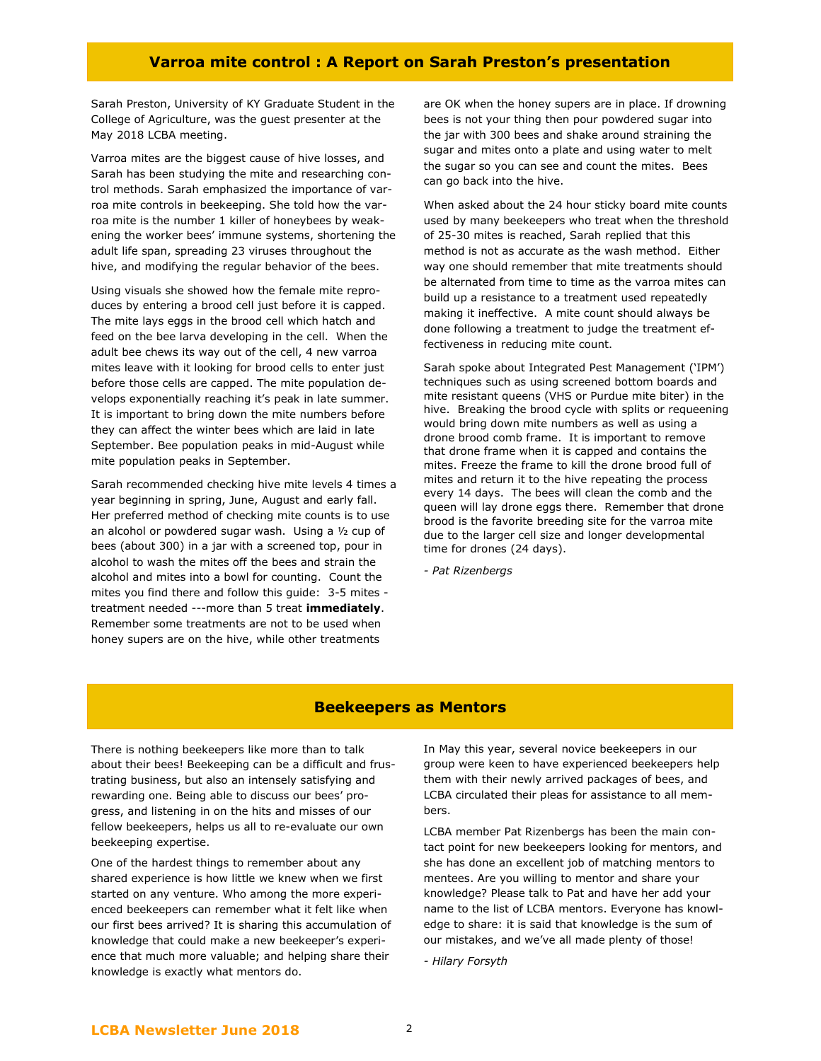#### Varroa mite control : A Report on Sarah Preston's presentation

Sarah Preston, University of KY Graduate Student in the College of Agriculture, was the guest presenter at the May 2018 LCBA meeting.

Varroa mites are the biggest cause of hive losses, and Sarah has been studying the mite and researching control methods. Sarah emphasized the importance of varroa mite controls in beekeeping. She told how the varroa mite is the number 1 killer of honeybees by weakening the worker bees' immune systems, shortening the adult life span, spreading 23 viruses throughout the hive, and modifying the regular behavior of the bees.

Using visuals she showed how the female mite reproduces by entering a brood cell just before it is capped. The mite lays eggs in the brood cell which hatch and feed on the bee larva developing in the cell. When the adult bee chews its way out of the cell, 4 new varroa mites leave with it looking for brood cells to enter just before those cells are capped. The mite population develops exponentially reaching it's peak in late summer. It is important to bring down the mite numbers before they can affect the winter bees which are laid in late September. Bee population peaks in mid-August while mite population peaks in September.

Sarah recommended checking hive mite levels 4 times a year beginning in spring, June, August and early fall. Her preferred method of checking mite counts is to use an alcohol or powdered sugar wash. Using a ½ cup of bees (about 300) in a jar with a screened top, pour in alcohol to wash the mites off the bees and strain the alcohol and mites into a bowl for counting. Count the mites you find there and follow this guide: 3-5 mites treatment needed ---more than 5 treat *immediately*. Remember some treatments are not to be used when honey supers are on the hive, while other treatments

are OK when the honey supers are in place. If drowning bees is not your thing then pour powdered sugar into the jar with 300 bees and shake around straining the sugar and mites onto a plate and using water to melt the sugar so you can see and count the mites. Bees can go back into the hive.

When asked about the 24 hour sticky board mite counts used by many beekeepers who treat when the threshold of 25-30 mites is reached, Sarah replied that this method is not as accurate as the wash method. Either way one should remember that mite treatments should be alternated from time to time as the varroa mites can build up a resistance to a treatment used repeatedly making it ineffective. A mite count should always be done following a treatment to judge the treatment effectiveness in reducing mite count.

Sarah spoke about Integrated Pest Management ('IPM') techniques such as using screened bottom boards and mite resistant queens (VHS or Purdue mite biter) in the hive. Breaking the brood cycle with splits or requeening would bring down mite numbers as well as using a drone brood comb frame. It is important to remove that drone frame when it is capped and contains the mites. Freeze the frame to kill the drone brood full of mites and return it to the hive repeating the process every 14 days. The bees will clean the comb and the queen will lay drone eggs there. Remember that drone brood is the favorite breeding site for the varroa mite due to the larger cell size and longer developmental time for drones (24 days).

- Pat Rizenbergs

#### Beekeepers as Mentors

There is nothing beekeepers like more than to talk about their bees! Beekeeping can be a difficult and frustrating business, but also an intensely satisfying and rewarding one. Being able to discuss our bees' progress, and listening in on the hits and misses of our fellow beekeepers, helps us all to re-evaluate our own beekeeping expertise.

One of the hardest things to remember about any shared experience is how little we knew when we first started on any venture. Who among the more experienced beekeepers can remember what it felt like when our first bees arrived? It is sharing this accumulation of knowledge that could make a new beekeeper's experience that much more valuable; and helping share their knowledge is exactly what mentors do.

In May this year, several novice beekeepers in our group were keen to have experienced beekeepers help them with their newly arrived packages of bees, and LCBA circulated their pleas for assistance to all members.

LCBA member Pat Rizenbergs has been the main contact point for new beekeepers looking for mentors, and she has done an excellent job of matching mentors to mentees. Are you willing to mentor and share your knowledge? Please talk to Pat and have her add your name to the list of LCBA mentors. Everyone has knowledge to share: it is said that knowledge is the sum of our mistakes, and we've all made plenty of those!

- Hilary Forsyth